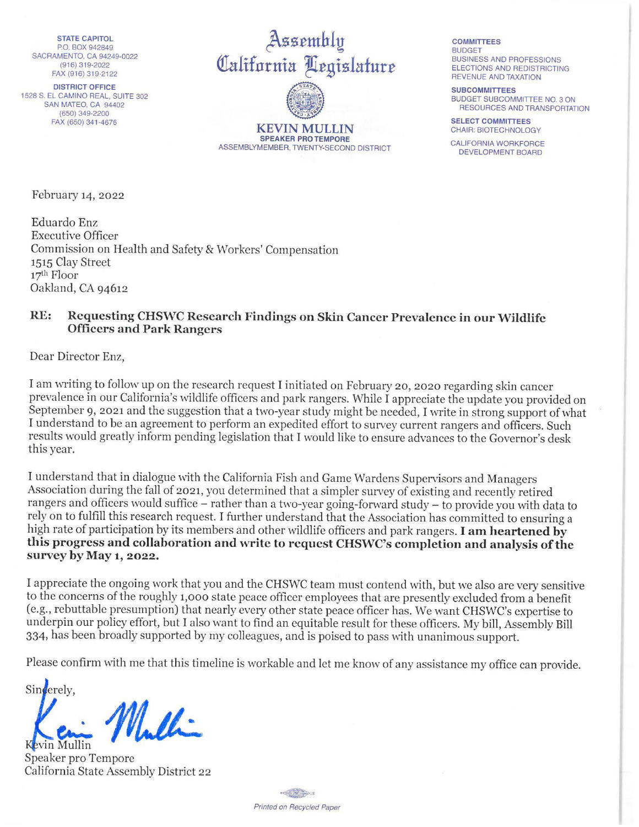STATE CAPITOL PO. BOX 942849 SACRAMENTO, CA 94249-0022 (916) 319-2022 FAX (916) 319-2122

DISTRICT OFFICE 1528 S. EL CAMINO REAL, SUITE 302 SAN MATEO, CA 94402 (650) 349-2200 FAX (650) 341 -4676

~zzrmhly California Legislature

**KEVIN MULLIN SPEAKER PRO TEMPORE**  ASSEMBLYMEMBER, TWENTY-SECOND DISTRICT

**COMMITTEES BUDGET** BUSINESS AND PROFESSIONS ELECTIONS AND REDISTRICTING REVENUE AND TAXATION

**SUBCOMMITTEES**  BUDGET SUBCOMMITTEE NO. 3 ON RESOURCES AND TRANSPORTATION

**SELECT COMMITTEES**  CHAIR: BIOTECHNOLOGY

CALIFORNIA WORKFORCE DEVELOPMENT BOARD

February 14, 2022

Eduardo Enz Executive Officer Commission on Health and Safety & Workers' Compensation 1515 Clay Street 17<sup>th</sup> Floor Oakland, CA 94612

## **RE: Requesting CHSWC Research Findings on Skin Cancer Prevalence in our Wildlife Officers and Park Rangers**

Dear Director Enz,

I am writing to follow up on the research request I initiated on February 20, 2020 regarding skin cancer prevalence in our California's wildlife officers and park rangers. While I appreciate the update you provided on September 9, 2021 and the suggestion that a two-year study might be needed, I write in strong support of what I understand to be an agreement to perform an expedited effort to survey current rangers and officers. Such results would greatly inform pending legislation that I would like to ensure advances to the Governor's desk this year.

I understand that in dialogue with the California Fish and Game Wardens Supervisors and Managers Association during the fall of 2021, you determined that a simpler survey of existing and recently retired rangers and officers would suffice – rather than a two-year going-forward study – to provide you with data to rely on to fulfill this research request. I further understand that the Association has committed to ensuring a high rate of participation by its members and other wildlife officers and park rangers\_ I **am heartened by this progress and collaboration and write to request CHSWC's completion and analysis of the survey by May 1, 2022.** 

I appreciate the ongoing work that you and the CHSWC team must contend with, but we also are very sensitive to the concerns of the roughly 1,000 state peace officer employees that are presently excluded from a benefit (e.g., rebuttable presumption) that nearly every other state peace officer has. We want CHSWC's expertise to underpin our policy effort, but I also want to find an equitable result for these officers. My bill, Assembly Bill 334, has been broadly supported by my colleagues, and is poised to pass with unanimous support.

Please confirm with me that this timeline is workable and let me know of any assistance my office can provide.

Sinderely.  $M_{\cdot}$ • e.,.,\_ vin Mullin

Speaker pro Tempore California State Assembly District 22